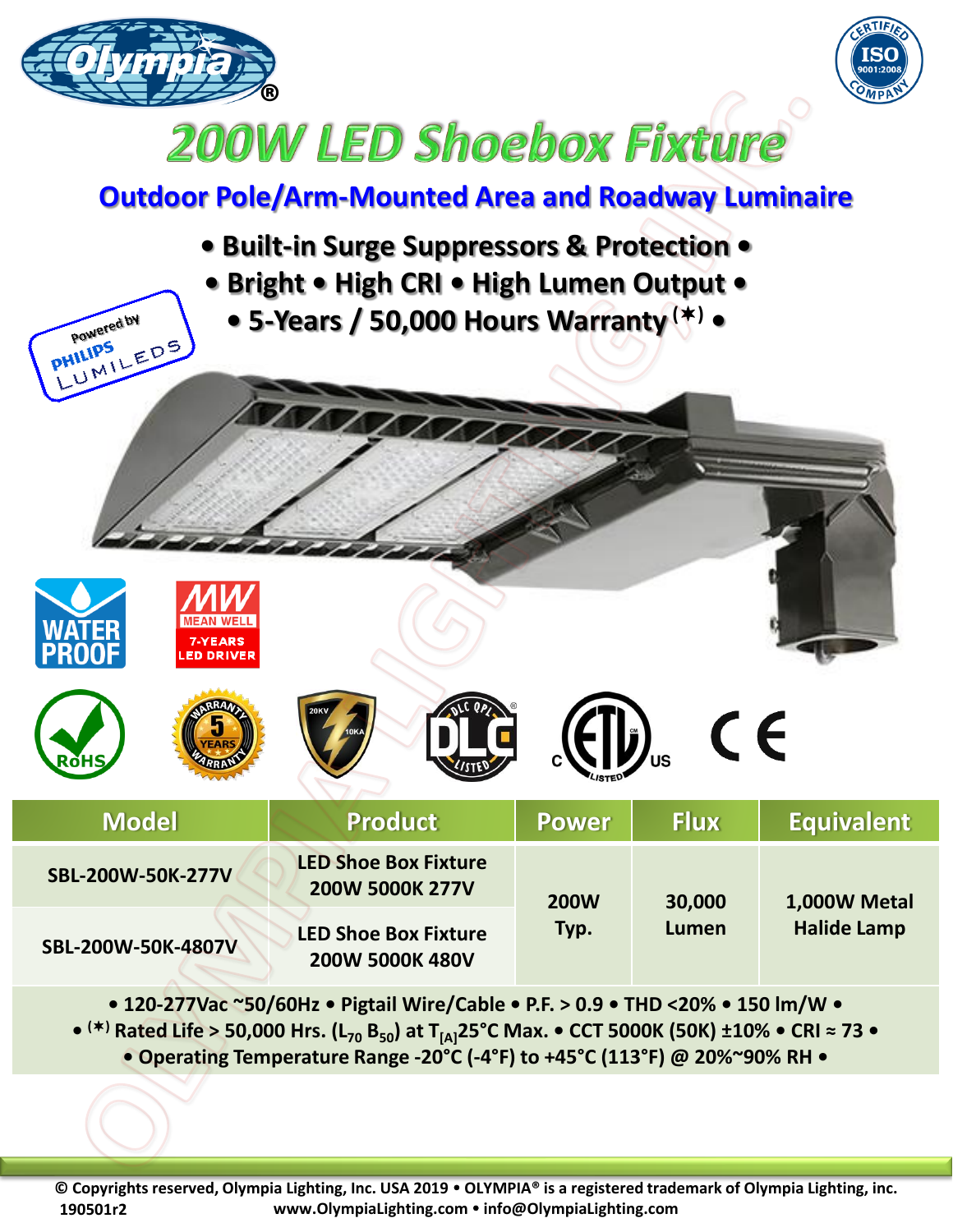



## **200W LED Shoebox Fixture**

## **Outdoor Pole/Arm-Mounted Area and Roadway Luminaire**

- **Built-in Surge Suppressors & Protection • • Bright • High CRI • High Lumen Output •**
	- **5-Years / 50,000 Hours Warranty () •**

Powered by

UMILEDS

**PHILIPS** 













| <b>Model</b>       | <b>Product</b>                                 | <b>Power</b> | <b>Flux</b>     | <b>Equivalent</b>                  |
|--------------------|------------------------------------------------|--------------|-----------------|------------------------------------|
| SBL-200W-50K-277V  | <b>LED Shoe Box Fixture</b><br>200W 5000K 277V | <b>200W</b>  | 30,000<br>Lumen | 1,000W Metal<br><b>Halide Lamp</b> |
| SBL-200W-50K-4807V | <b>LED Shoe Box Fixture</b><br>200W 5000K 480V | Typ.         |                 |                                    |

**• 120-277Vac ~50/60Hz • Pigtail Wire/Cable • P.F. > 0.9 • THD <20% • 150 lm/W • • () Rated Life > 50,000 Hrs. (L<sup>70</sup> B50) at T[A]25°C Max. • CCT 5000K (50K) ±10% • CRI ≈ 73 • • Operating Temperature Range -20°C (-4°F) to +45°C (113°F) @ 20%~90% RH •**